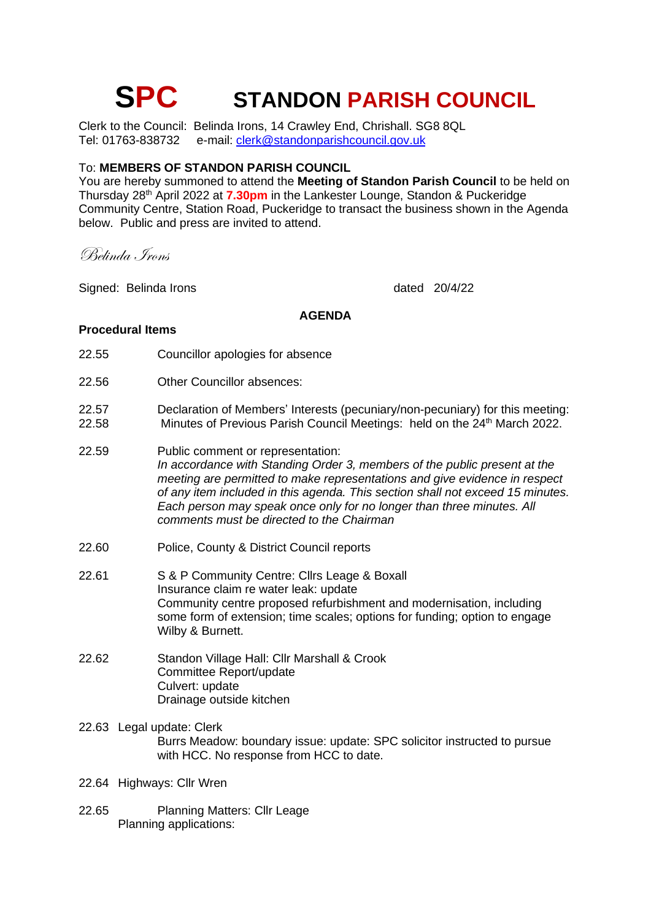# **SPC STANDON PARISH COUNCIL**

Clerk to the Council: Belinda Irons, 14 Crawley End, Chrishall. SG8 8QL<br>Tel: 01763-838732 e-mail: clerk@standonparishcouncil.gov.uk e-mail: [clerk@standonparishcouncil.gov.uk](mailto:clerk@standonparishcouncil.gov.uk)

# To: **MEMBERS OF STANDON PARISH COUNCIL**

You are hereby summoned to attend the **Meeting of Standon Parish Council** to be held on Thursday 28<sup>th</sup> April 2022 at 7.30pm in the Lankester Lounge, Standon & Puckeridge Community Centre, Station Road, Puckeridge to transact the business shown in the Agenda below. Public and press are invited to attend.

Belinda Irons

Signed: Belinda Irons and the control of the control of the control of the control of the control of the control of the control of the control of the control of the control of the control of the control of the control of t

#### **AGENDA**

#### **Procedural Items**

- 22.55 Councillor apologies for absence
- 22.56 Other Councillor absences:
- 22.57 Declaration of Members' Interests (pecuniary/non-pecuniary) for this meeting: 22.58 Minutes of Previous Parish Council Meetings: held on the 24<sup>th</sup> March 2022.
- 22.59 Public comment or representation: *In accordance with Standing Order 3, members of the public present at the meeting are permitted to make representations and give evidence in respect of any item included in this agenda. This section shall not exceed 15 minutes. Each person may speak once only for no longer than three minutes. All comments must be directed to the Chairman*
- 22.60 Police, County & District Council reports
- 22.61 S & P Community Centre: Cllrs Leage & Boxall Insurance claim re water leak: update Community centre proposed refurbishment and modernisation, including some form of extension; time scales; options for funding; option to engage Wilby & Burnett.
- 22.62 Standon Village Hall: Cllr Marshall & Crook Committee Report/update Culvert: update Drainage outside kitchen
- 22.63 Legal update: Clerk Burrs Meadow: boundary issue: update: SPC solicitor instructed to pursue with HCC. No response from HCC to date.
- 22.64 Highways: Cllr Wren
- 22.65 Planning Matters: Cllr Leage Planning applications: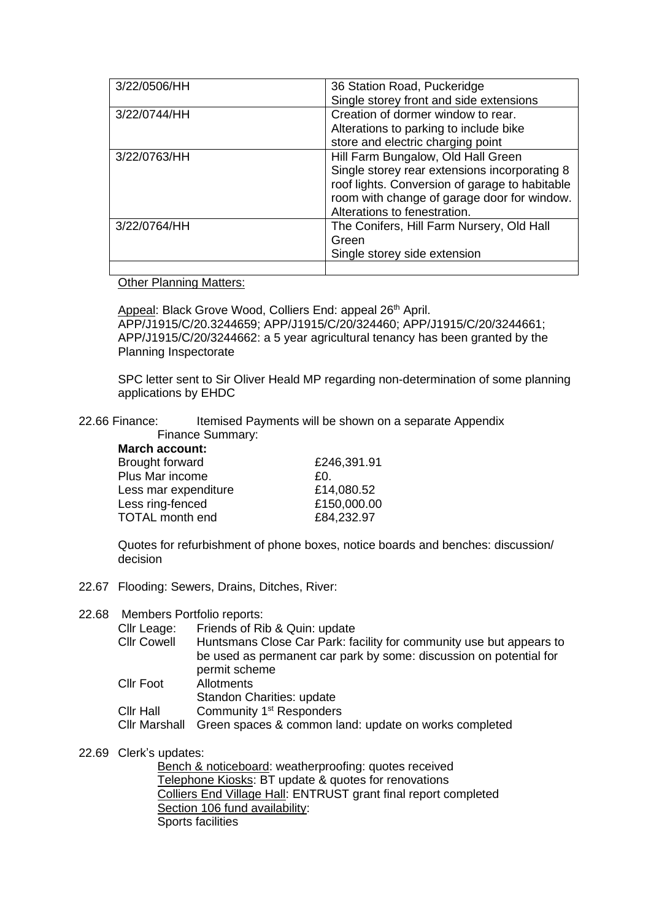| 3/22/0506/HH | 36 Station Road, Puckeridge<br>Single storey front and side extensions                                                                                                                                               |
|--------------|----------------------------------------------------------------------------------------------------------------------------------------------------------------------------------------------------------------------|
| 3/22/0744/HH | Creation of dormer window to rear.<br>Alterations to parking to include bike<br>store and electric charging point                                                                                                    |
| 3/22/0763/HH | Hill Farm Bungalow, Old Hall Green<br>Single storey rear extensions incorporating 8<br>roof lights. Conversion of garage to habitable<br>room with change of garage door for window.<br>Alterations to fenestration. |
| 3/22/0764/HH | The Conifers, Hill Farm Nursery, Old Hall<br>Green<br>Single storey side extension                                                                                                                                   |
|              |                                                                                                                                                                                                                      |

## Other Planning Matters:

Appeal: Black Grove Wood, Colliers End: appeal 26<sup>th</sup> April. APP/J1915/C/20.3244659; APP/J1915/C/20/324460; APP/J1915/C/20/3244661; APP/J1915/C/20/3244662: a 5 year agricultural tenancy has been granted by the Planning Inspectorate

SPC letter sent to Sir Oliver Heald MP regarding non-determination of some planning applications by EHDC

22.66 Finance: Itemised Payments will be shown on a separate Appendix mary:

|  |  | Finance Sumn |  |  |
|--|--|--------------|--|--|
|  |  |              |  |  |
|  |  |              |  |  |
|  |  |              |  |  |
|  |  |              |  |  |

| March account:         |             |
|------------------------|-------------|
| <b>Brought forward</b> | £246,391.91 |
| Plus Mar income        | £0.         |
| Less mar expenditure   | £14,080.52  |
| Less ring-fenced       | £150,000.00 |
| <b>TOTAL month end</b> | £84,232.97  |
|                        |             |

Quotes for refurbishment of phone boxes, notice boards and benches: discussion/ decision

22.67 Flooding: Sewers, Drains, Ditches, River:

#### 22.68 Members Portfolio reports:

| Cllr Leage:<br><b>Cllr Cowell</b>        | Friends of Rib & Quin: update<br>Huntsmans Close Car Park: facility for community use but appears to<br>be used as permanent car park by some: discussion on potential for<br>permit scheme |
|------------------------------------------|---------------------------------------------------------------------------------------------------------------------------------------------------------------------------------------------|
| <b>Cllr Foot</b>                         | Allotments<br><b>Standon Charities: update</b>                                                                                                                                              |
| <b>Cllr Hall</b><br><b>Cllr Marshall</b> | Community 1 <sup>st</sup> Responders<br>Green spaces & common land: update on works completed                                                                                               |

## 22.69 Clerk's updates:

Bench & noticeboard: weatherproofing: quotes received Telephone Kiosks: BT update & quotes for renovations Colliers End Village Hall: ENTRUST grant final report completed Section 106 fund availability: Sports facilities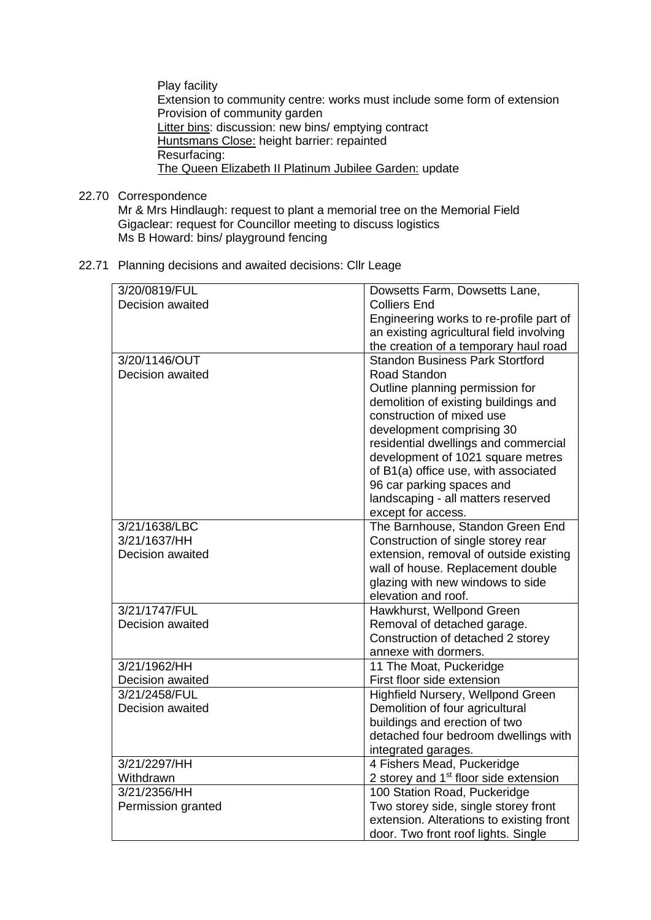Play facility Extension to community centre: works must include some form of extension Provision of community garden Litter bins: discussion: new bins/ emptying contract Huntsmans Close: height barrier: repainted Resurfacing: The Queen Elizabeth II Platinum Jubilee Garden: update

22.70 Correspondence

Mr & Mrs Hindlaugh: request to plant a memorial tree on the Memorial Field Gigaclear: request for Councillor meeting to discuss logistics Ms B Howard: bins/ playground fencing

22.71 Planning decisions and awaited decisions: Cllr Leage

| 3/20/0819/FUL      | Dowsetts Farm, Dowsetts Lane,                     |
|--------------------|---------------------------------------------------|
| Decision awaited   | <b>Colliers End</b>                               |
|                    | Engineering works to re-profile part of           |
|                    | an existing agricultural field involving          |
|                    | the creation of a temporary haul road             |
| 3/20/1146/OUT      | <b>Standon Business Park Stortford</b>            |
| Decision awaited   | Road Standon                                      |
|                    | Outline planning permission for                   |
|                    | demolition of existing buildings and              |
|                    | construction of mixed use                         |
|                    | development comprising 30                         |
|                    |                                                   |
|                    | residential dwellings and commercial              |
|                    | development of 1021 square metres                 |
|                    | of B1(a) office use, with associated              |
|                    | 96 car parking spaces and                         |
|                    | landscaping - all matters reserved                |
|                    | except for access.                                |
| 3/21/1638/LBC      | The Barnhouse, Standon Green End                  |
| 3/21/1637/HH       | Construction of single storey rear                |
| Decision awaited   | extension, removal of outside existing            |
|                    | wall of house. Replacement double                 |
|                    | glazing with new windows to side                  |
|                    | elevation and roof.                               |
| 3/21/1747/FUL      | Hawkhurst, Wellpond Green                         |
| Decision awaited   | Removal of detached garage.                       |
|                    | Construction of detached 2 storey                 |
|                    | annexe with dormers.                              |
| 3/21/1962/HH       | 11 The Moat, Puckeridge                           |
| Decision awaited   | First floor side extension                        |
| 3/21/2458/FUL      | Highfield Nursery, Wellpond Green                 |
| Decision awaited   | Demolition of four agricultural                   |
|                    | buildings and erection of two                     |
|                    | detached four bedroom dwellings with              |
|                    | integrated garages.                               |
| 3/21/2297/HH       | 4 Fishers Mead, Puckeridge                        |
| Withdrawn          | 2 storey and 1 <sup>st</sup> floor side extension |
| 3/21/2356/HH       | 100 Station Road, Puckeridge                      |
|                    |                                                   |
| Permission granted | Two storey side, single storey front              |
|                    | extension. Alterations to existing front          |
|                    | door. Two front roof lights. Single               |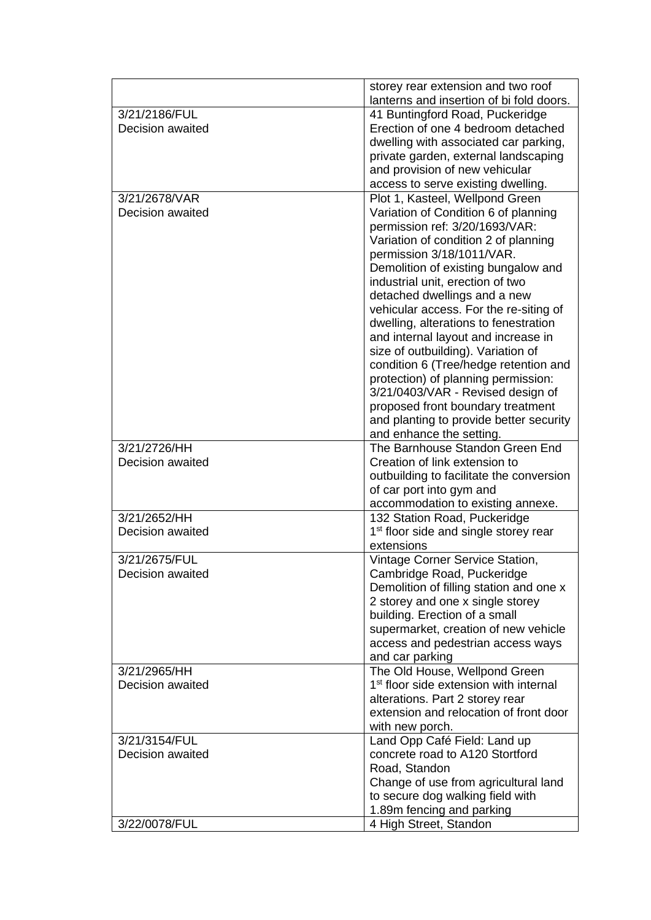|                  | storey rear extension and two roof                                          |
|------------------|-----------------------------------------------------------------------------|
|                  | lanterns and insertion of bi fold doors.                                    |
| 3/21/2186/FUL    | 41 Buntingford Road, Puckeridge                                             |
| Decision awaited | Erection of one 4 bedroom detached                                          |
|                  | dwelling with associated car parking,                                       |
|                  | private garden, external landscaping                                        |
|                  | and provision of new vehicular                                              |
|                  | access to serve existing dwelling.                                          |
| 3/21/2678/VAR    | Plot 1, Kasteel, Wellpond Green                                             |
| Decision awaited | Variation of Condition 6 of planning<br>permission ref: 3/20/1693/VAR:      |
|                  | Variation of condition 2 of planning<br>permission 3/18/1011/VAR.           |
|                  | Demolition of existing bungalow and                                         |
|                  | industrial unit, erection of two<br>detached dwellings and a new            |
|                  | vehicular access. For the re-siting of                                      |
|                  | dwelling, alterations to fenestration                                       |
|                  | and internal layout and increase in                                         |
|                  | size of outbuilding). Variation of                                          |
|                  | condition 6 (Tree/hedge retention and                                       |
|                  | protection) of planning permission:                                         |
|                  | 3/21/0403/VAR - Revised design of                                           |
|                  | proposed front boundary treatment                                           |
|                  | and planting to provide better security                                     |
|                  | and enhance the setting.                                                    |
| 3/21/2726/HH     | The Barnhouse Standon Green End                                             |
| Decision awaited | Creation of link extension to                                               |
|                  | outbuilding to facilitate the conversion                                    |
|                  | of car port into gym and                                                    |
|                  | accommodation to existing annexe.                                           |
| 3/21/2652/HH     | 132 Station Road, Puckeridge                                                |
| Decision awaited | 1 <sup>st</sup> floor side and single storey rear                           |
|                  | extensions                                                                  |
| 3/21/2675/FUL    | Vintage Corner Service Station,                                             |
| Decision awaited | Cambridge Road, Puckeridge                                                  |
|                  | Demolition of filling station and one x<br>2 storey and one x single storey |
|                  | building. Erection of a small                                               |
|                  | supermarket, creation of new vehicle                                        |
|                  | access and pedestrian access ways                                           |
|                  | and car parking                                                             |
| 3/21/2965/HH     | The Old House, Wellpond Green                                               |
| Decision awaited | 1 <sup>st</sup> floor side extension with internal                          |
|                  | alterations. Part 2 storey rear                                             |
|                  | extension and relocation of front door                                      |
|                  | with new porch.                                                             |
| 3/21/3154/FUL    | Land Opp Café Field: Land up                                                |
| Decision awaited | concrete road to A120 Stortford                                             |
|                  | Road, Standon                                                               |
|                  | Change of use from agricultural land                                        |
|                  | to secure dog walking field with                                            |
|                  | 1.89m fencing and parking                                                   |
| 3/22/0078/FUL    | 4 High Street, Standon                                                      |